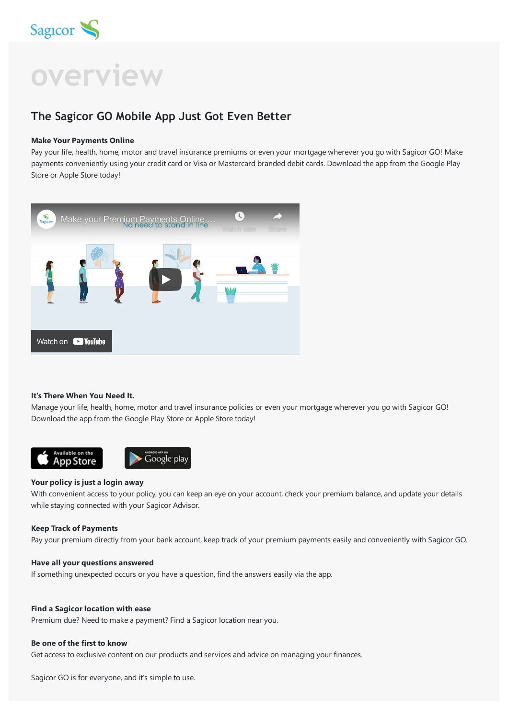

# **overview**

# **The Sagicor GO Mobile App Just Got Even Better**

#### **Make Your Payments Online**

Pay your life, health, home, motor and travel insurance premiums or even your mortgage wherever you go with Sagicor GO! Make payments conveniently using your credit card or Visa or Mastercard branded debit cards. Download the app from the Google Play Store or Apple Store today!



#### **It's There When You Need It.**

Manage your life, health, home, motor and travel insurance policies or even your mortgage wherever you go with Sagicor GO! Download the app from the Google Play Store or Apple Store today!



#### **Your policy is just a login away**

With convenient access to your policy, you can keep an eye on your account, check your premium balance, and update your details while staying connected with your Sagicor Advisor.

#### **Keep Track of Payments**

Pay your premium directly from your bank account, keep track of your premium payments easily and conveniently with Sagicor GO.

#### **Have all your questions answered**

If something unexpected occurs or you have a question, find the answers easily via the app.

#### **Find a Sagicor location with ease**

Premium due? Need to make a payment? Find a Sagicor location near you.

#### **Be one of the first to know**

Get access to exclusive content on our products and services and advice on managing your finances.

Sagicor GO is for everyone, and it's simple to use.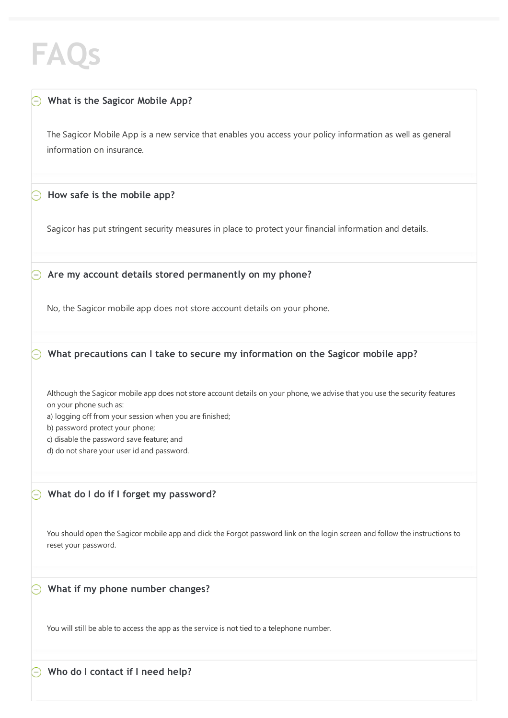# **FAQs**

# **What is the Sagicor Mobile App?**

The Sagicor Mobile App is a new service that enables you access your policy information as well as general information on insurance.

# **How safe is the mobile app?**

Sagicor has put stringent security measures in place to protect your financial information and details.

**Are my account details stored permanently on my phone?** ⊝

No, the Sagicor mobile app does not store account details on your phone.

**What precautions can I take to secure my information on the Sagicor mobile app?**

Although the Sagicor mobile app does not store account details on your phone, we advise that you use the security features on your phone such as:

a) logging off from your session when you are finished;

b) password protect your phone;

c) disable the password save feature; and

d) do not share your user id and password.

# **What do I do if I forget my password?**

You should open the Sagicor mobile app and click the Forgot password link on the login screen and follow the instructions to reset your password.

# **What if my phone number changes?**

You will still be able to access the app as the service is not tied to a telephone number.

**Who do I contact if I need help?**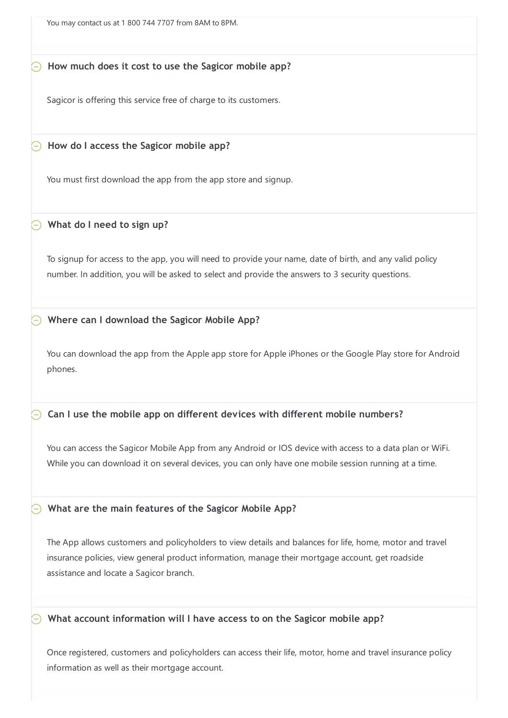You may contact us at 1 800 744 7707 from 8AM to 8PM.

# **How much does it cost to use the Sagicor mobile app?**

Sagicor is offering this service free of charge to its customers.

**How do I access the Sagicor mobile app?**

You must first download the app from the app store and signup.

# **What do I need to sign up?**

To signup for access to the app, you will need to provide your name, date of birth, and any valid policy number. In addition, you will be asked to select and provide the answers to 3 security questions.

# **Where can I download the Sagicor Mobile App?**

You can download the app from the Apple app store for Apple iPhones or the Google Play store for Android phones.

# **Can I use the mobile app on different devices with different mobile numbers?**

You can access the Sagicor Mobile App from any Android or IOS device with access to a data plan or WiFi. While you can download it on several devices, you can only have one mobile session running at a time.

# **What are the main features of the Sagicor Mobile App?**

The App allows customers and policyholders to view details and balances for life, home, motor and travel insurance policies, view general product information, manage their mortgage account, get roadside assistance and locate a Sagicor branch.

# **What account information will I have access to on the Sagicor mobile app?**

Once registered, customers and policyholders can access their life, motor, home and travel insurance policy information as well as their mortgage account.